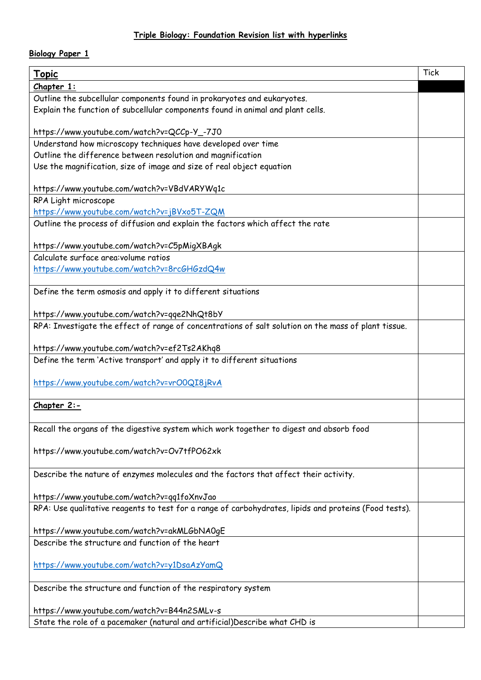## **Triple Biology: Foundation Revision list with hyperlinks**

## **Biology Paper 1**

| <u>Topic</u>                                                                                          | <b>Tick</b> |
|-------------------------------------------------------------------------------------------------------|-------------|
| Chapter 1:                                                                                            |             |
| Outline the subcellular components found in prokaryotes and eukaryotes.                               |             |
| Explain the function of subcellular components found in animal and plant cells.                       |             |
|                                                                                                       |             |
| https://www.youtube.com/watch?v=QCCp-Y_-7J0                                                           |             |
| Understand how microscopy techniques have developed over time                                         |             |
| Outline the difference between resolution and magnification                                           |             |
| Use the magnification, size of image and size of real object equation                                 |             |
|                                                                                                       |             |
| https://www.youtube.com/watch?v=VBdVARYWq1c                                                           |             |
| RPA Light microscope                                                                                  |             |
| https://www.youtube.com/watch?v=jBVxo5T-ZQM                                                           |             |
| Outline the process of diffusion and explain the factors which affect the rate                        |             |
|                                                                                                       |             |
| https://www.youtube.com/watch?v=C5pMigXBAgk                                                           |             |
| Calculate surface area: volume ratios                                                                 |             |
| https://www.youtube.com/watch?v=8rcGHGzdQ4w                                                           |             |
| Define the term osmosis and apply it to different situations                                          |             |
|                                                                                                       |             |
| https://www.youtube.com/watch?v=qqe2NhQt8bY                                                           |             |
| RPA: Investigate the effect of range of concentrations of salt solution on the mass of plant tissue.  |             |
|                                                                                                       |             |
| https://www.youtube.com/watch?v=ef2Ts2AKhq8                                                           |             |
| Define the term 'Active transport' and apply it to different situations                               |             |
|                                                                                                       |             |
| https://www.youtube.com/watch?v=vrO0QI8jRvA                                                           |             |
|                                                                                                       |             |
| Chapter 2:-                                                                                           |             |
|                                                                                                       |             |
| Recall the organs of the digestive system which work together to digest and absorb food               |             |
|                                                                                                       |             |
| https://www.youtube.com/watch?v=Ov7tfPO62xk                                                           |             |
| Describe the nature of enzymes molecules and the factors that affect their activity.                  |             |
|                                                                                                       |             |
| https://www.youtube.com/watch?v=qq1foXnvJao                                                           |             |
| RPA: Use qualitative reagents to test for a range of carbohydrates, lipids and proteins (Food tests). |             |
|                                                                                                       |             |
| https://www.youtube.com/watch?v=akMLGbNA0gE                                                           |             |
| Describe the structure and function of the heart                                                      |             |
|                                                                                                       |             |
| https://www.youtube.com/watch?v=y1DsaAzYamQ                                                           |             |
|                                                                                                       |             |
| Describe the structure and function of the respiratory system                                         |             |
|                                                                                                       |             |
| https://www.youtube.com/watch?v=B44n2SMLv-s                                                           |             |
| State the role of a pacemaker (natural and artificial)Describe what CHD is                            |             |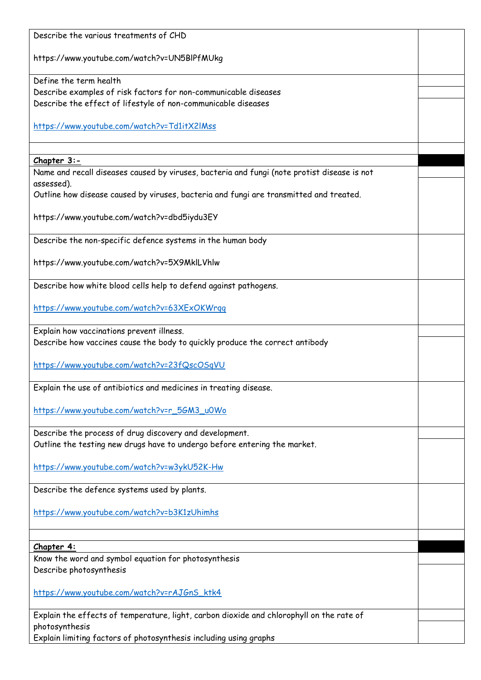| Describe the various treatments of CHD                                                                                    |  |
|---------------------------------------------------------------------------------------------------------------------------|--|
| https://www.youtube.com/watch?v=UN5BlPfMUkg                                                                               |  |
| Define the term health                                                                                                    |  |
| Describe examples of risk factors for non-communicable diseases                                                           |  |
| Describe the effect of lifestyle of non-communicable diseases                                                             |  |
| https://www.youtube.com/watch?v=Td1itX2lMss                                                                               |  |
|                                                                                                                           |  |
| $Chapter 3:-$                                                                                                             |  |
| Name and recall diseases caused by viruses, bacteria and fungi (note protist disease is not<br>assessed).                 |  |
| Outline how disease caused by viruses, bacteria and fungi are transmitted and treated.                                    |  |
| https://www.youtube.com/watch?v=dbd5iydu3EY                                                                               |  |
| Describe the non-specific defence systems in the human body                                                               |  |
| https://www.youtube.com/watch?v=5X9MklLVhlw                                                                               |  |
| Describe how white blood cells help to defend against pathogens.                                                          |  |
| https://www.youtube.com/watch?v=63XExOKWrqq                                                                               |  |
| Explain how vaccinations prevent illness.<br>Describe how vaccines cause the body to quickly produce the correct antibody |  |
|                                                                                                                           |  |
| https://www.youtube.com/watch?v=23fQscOSqVU                                                                               |  |
| Explain the use of antibiotics and medicines in treating disease                                                          |  |
| https://www.youtube.com/watch?v=r_5GM3_u0Wo                                                                               |  |
| Describe the process of drug discovery and development.                                                                   |  |
| Outline the testing new drugs have to undergo before entering the market.                                                 |  |
| https://www.youtube.com/watch?v=w3ykU52K-Hw                                                                               |  |
| Describe the defence systems used by plants.                                                                              |  |
| https://www.youtube.com/watch?v=b3K1zUhimhs                                                                               |  |
|                                                                                                                           |  |
| Chapter 4:                                                                                                                |  |
| Know the word and symbol equation for photosynthesis<br>Describe photosynthesis                                           |  |
| https://www.youtube.com/watch?v=rAJGnS_ktk4                                                                               |  |
| Explain the effects of temperature, light, carbon dioxide and chlorophyll on the rate of<br>photosynthesis                |  |
| Explain limiting factors of photosynthesis including using graphs                                                         |  |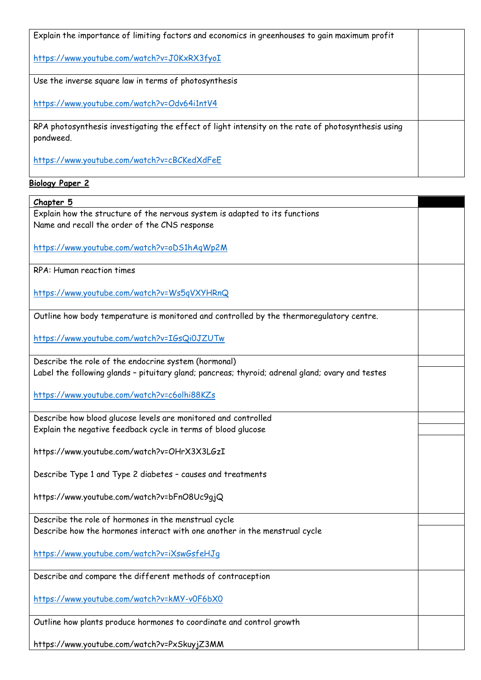| Explain the importance of limiting factors and economics in greenhouses to gain maximum profit                  |  |
|-----------------------------------------------------------------------------------------------------------------|--|
| https://www.youtube.com/watch?v=JOKxRX3fyoI                                                                     |  |
| Use the inverse square law in terms of photosynthesis                                                           |  |
| https://www.youtube.com/watch?v=Odv64i1ntV4                                                                     |  |
| RPA photosynthesis investigating the effect of light intensity on the rate of photosynthesis using<br>pondweed. |  |
| https://www.youtube.com/watch?v=cBCKedXdFeE                                                                     |  |
| <b>Biology Paper 2</b>                                                                                          |  |

| Chapter 5                                                                                        |  |
|--------------------------------------------------------------------------------------------------|--|
| Explain how the structure of the nervous system is adapted to its functions                      |  |
| Name and recall the order of the CNS response                                                    |  |
|                                                                                                  |  |
| https://www.youtube.com/watch?v=oDS1hAqWp2M                                                      |  |
|                                                                                                  |  |
| RPA: Human reaction times                                                                        |  |
|                                                                                                  |  |
| https://www.youtube.com/watch?v=Ws5qVXYHRnQ                                                      |  |
|                                                                                                  |  |
| Outline how body temperature is monitored and controlled by the thermoregulatory centre.         |  |
|                                                                                                  |  |
| https://www.youtube.com/watch?v=IGsQi0JZUTw                                                      |  |
|                                                                                                  |  |
| Describe the role of the endocrine system (hormonal)                                             |  |
| Label the following glands - pituitary gland; pancreas; thyroid; adrenal gland; ovary and testes |  |
|                                                                                                  |  |
| https://www.youtube.com/watch?v=c6olhi88KZs                                                      |  |
|                                                                                                  |  |
| Describe how blood glucose levels are monitored and controlled                                   |  |
| Explain the negative feedback cycle in terms of blood glucose                                    |  |
|                                                                                                  |  |
| https://www.youtube.com/watch?v=OHrX3X3LGzI                                                      |  |
|                                                                                                  |  |
| Describe Type 1 and Type 2 diabetes - causes and treatments                                      |  |
|                                                                                                  |  |
| https://www.youtube.com/watch?v=bFnO8Uc9gjQ                                                      |  |
|                                                                                                  |  |
| Describe the role of hormones in the menstrual cycle                                             |  |
| Describe how the hormones interact with one another in the menstrual cycle                       |  |
|                                                                                                  |  |
| https://www.youtube.com/watch?v=iXswGsfeHJq                                                      |  |
| Describe and compare the different methods of contraception                                      |  |
|                                                                                                  |  |
| https://www.youtube.com/watch?v=kMY-v0F6bX0                                                      |  |
|                                                                                                  |  |
| Outline how plants produce hormones to coordinate and control growth                             |  |
|                                                                                                  |  |
|                                                                                                  |  |

https://www.youtube.com/watch?v=PxSkuyjZ3MM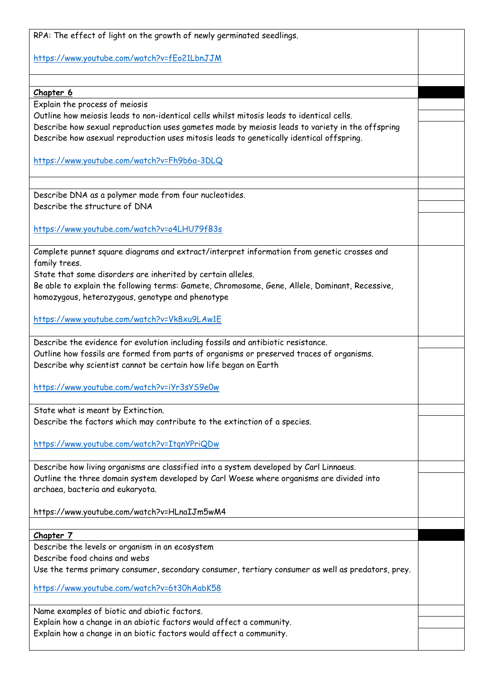| RPA: The effect of light on the growth of newly germinated seedlings.                                                                                                                       |  |
|---------------------------------------------------------------------------------------------------------------------------------------------------------------------------------------------|--|
| https://www.youtube.com/watch?v=fEo21LbnJJM                                                                                                                                                 |  |
|                                                                                                                                                                                             |  |
| Chapter 6                                                                                                                                                                                   |  |
| Explain the process of meiosis                                                                                                                                                              |  |
| Outline how meiosis leads to non-identical cells whilst mitosis leads to identical cells.                                                                                                   |  |
| Describe how sexual reproduction uses gametes made by meiosis leads to variety in the offspring<br>Describe how asexual reproduction uses mitosis leads to genetically identical offspring. |  |
| https://www.youtube.com/watch?v=Fh9b6a-3DLQ                                                                                                                                                 |  |
|                                                                                                                                                                                             |  |
| Describe DNA as a polymer made from four nucleotides.                                                                                                                                       |  |
| Describe the structure of DNA                                                                                                                                                               |  |
| https://www.youtube.com/watch?v=o4LHU79fB3s                                                                                                                                                 |  |
| Complete punnet square diagrams and extract/interpret information from genetic crosses and                                                                                                  |  |
| family trees.                                                                                                                                                                               |  |
| State that some disorders are inherited by certain alleles.                                                                                                                                 |  |
| Be able to explain the following terms: Gamete, Chromosome, Gene, Allele, Dominant, Recessive,                                                                                              |  |
| homozygous, heterozygous, genotype and phenotype                                                                                                                                            |  |
| https://www.youtube.com/watch?v=Vk8xu9LAw1E                                                                                                                                                 |  |
| Describe the evidence for evolution including fossils and antibiotic resistance.                                                                                                            |  |
| Outline how fossils are formed from parts of organisms or preserved traces of organisms.                                                                                                    |  |
| Describe why scientist cannot be certain how life began on Earth                                                                                                                            |  |
|                                                                                                                                                                                             |  |
| https://www.youtube.com/watch?v=iYr3sYS9eOw                                                                                                                                                 |  |
| State what is meant by Extinction.                                                                                                                                                          |  |
| Describe the factors which may contribute to the extinction of a species.                                                                                                                   |  |
|                                                                                                                                                                                             |  |
| https://www.youtube.com/watch?v=ItgnYPriQDw                                                                                                                                                 |  |
|                                                                                                                                                                                             |  |
| Describe how living organisms are classified into a system developed by Carl Linnaeus.                                                                                                      |  |
| Outline the three domain system developed by Carl Woese where organisms are divided into                                                                                                    |  |
| archaea, bacteria and eukaryota.                                                                                                                                                            |  |
| https://www.youtube.com/watch?v=HLnaIJm5wM4                                                                                                                                                 |  |
|                                                                                                                                                                                             |  |
| Chapter 7                                                                                                                                                                                   |  |
| Describe the levels or organism in an ecosystem                                                                                                                                             |  |
| Describe food chains and webs                                                                                                                                                               |  |
| Use the terms primary consumer, secondary consumer, tertiary consumer as well as predators, prey.                                                                                           |  |
| https://www.youtube.com/watch?v=6t30hAabK58                                                                                                                                                 |  |
| Name examples of biotic and abiotic factors.                                                                                                                                                |  |
| Explain how a change in an abiotic factors would affect a community.                                                                                                                        |  |
| Explain how a change in an biotic factors would affect a community.                                                                                                                         |  |